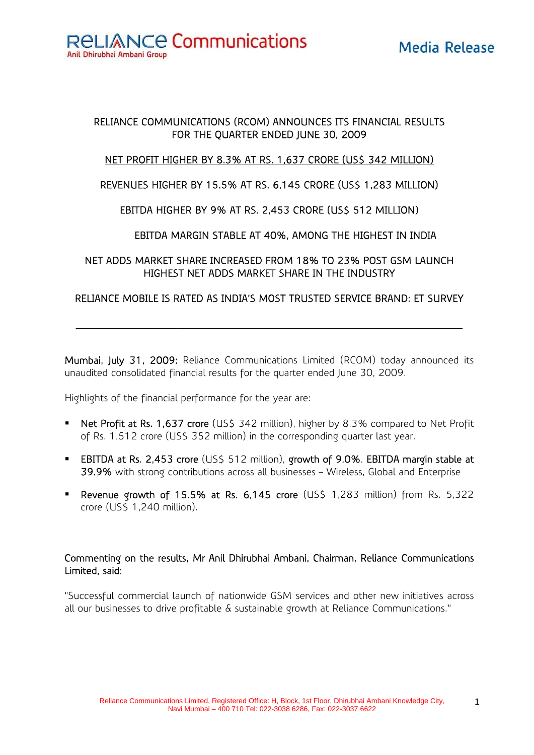**RELIANCE Communications** 

Anil Dhirubhai Ambani Group

## Media Release

#### RELIANCE COMMUNICATIONS (RCOM) ANNOUNCES ITS FINANCIAL RESULTS FOR THE QUARTER ENDED JUNE 30, 2009

#### NET PROFIT HIGHER BY 8.3% AT RS. 1,637 CRORE (US\$ 342 MILLION)

#### REVENUES HIGHER BY 15.5% AT RS. 6,145 CRORE (US\$ 1,283 MILLION)

#### EBITDA HIGHER BY 9% AT RS. 2,453 CRORE (US\$ 512 MILLION)

#### EBITDA MARGIN STABLE AT 40%, AMONG THE HIGHEST IN INDIA

#### NET ADDS MARKET SHARE INCREASED FROM 18% TO 23% POST GSM LAUNCH HIGHEST NET ADDS MARKET SHARE IN THE INDUSTRY

#### RELIANCE MOBILE IS RATED AS INDIA'S MOST TRUSTED SERVICE BRAND: ET SURVEY

 $\mathcal{L}_\mathcal{L} = \{ \mathcal{L}_\mathcal{L} = \{ \mathcal{L}_\mathcal{L} = \{ \mathcal{L}_\mathcal{L} = \{ \mathcal{L}_\mathcal{L} = \{ \mathcal{L}_\mathcal{L} = \{ \mathcal{L}_\mathcal{L} = \{ \mathcal{L}_\mathcal{L} = \{ \mathcal{L}_\mathcal{L} = \{ \mathcal{L}_\mathcal{L} = \{ \mathcal{L}_\mathcal{L} = \{ \mathcal{L}_\mathcal{L} = \{ \mathcal{L}_\mathcal{L} = \{ \mathcal{L}_\mathcal{L} = \{ \mathcal{L}_\mathcal{$ 

Mumbai, July 31, 2009: Reliance Communications Limited (RCOM) today announced its unaudited consolidated financial results for the quarter ended June 30, 2009.

Highlights of the financial performance for the year are:

- Net Profit at Rs. 1,637 crore (US\$ 342 million), higher by 8.3% compared to Net Profit of Rs. 1,512 crore (US\$ 352 million) in the corresponding quarter last year.
- **EBITDA at Rs. 2,453 crore** (US\$ 512 million), growth of 9.0%. EBITDA margin stable at 39.9% with strong contributions across all businesses – Wireless, Global and Enterprise
- **Revenue growth of 15.5% at Rs. 6,145 crore (US\$ 1,283 million) from Rs. 5,322** crore (US\$ 1,240 million).

#### Commenting on the results, Mr Anil Dhirubhai Ambani, Chairman, Reliance Communications Limited, said:

"Successful commercial launch of nationwide GSM services and other new initiatives across all our businesses to drive profitable & sustainable growth at Reliance Communications."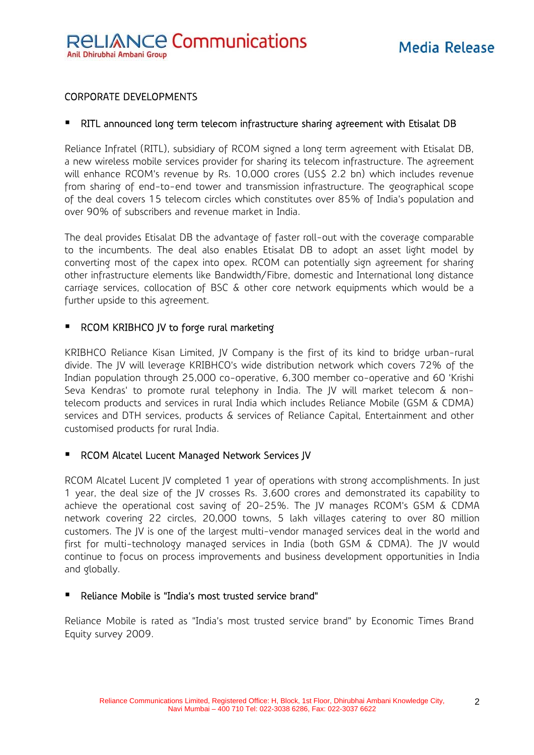#### CORPORATE DEVELOPMENTS

#### RITL announced long term telecom infrastructure sharing agreement with Etisalat DB

Reliance Infratel (RITL), subsidiary of RCOM signed a long term agreement with Etisalat DB, a new wireless mobile services provider for sharing its telecom infrastructure. The agreement will enhance RCOM's revenue by Rs. 10,000 crores (US\$ 2.2 bn) which includes revenue from sharing of end-to-end tower and transmission infrastructure. The geographical scope of the deal covers 15 telecom circles which constitutes over 85% of India's population and over 90% of subscribers and revenue market in India.

The deal provides Etisalat DB the advantage of faster roll-out with the coverage comparable to the incumbents. The deal also enables Etisalat DB to adopt an asset light model by converting most of the capex into opex. RCOM can potentially sign agreement for sharing other infrastructure elements like Bandwidth/Fibre, domestic and International long distance carriage services, collocation of BSC & other core network equipments which would be a further upside to this agreement.

#### RCOM KRIBHCO JV to forge rural marketing

KRIBHCO Reliance Kisan Limited, JV Company is the first of its kind to bridge urban-rural divide. The JV will leverage KRIBHCO's wide distribution network which covers 72% of the Indian population through 25,000 co-operative, 6,300 member co-operative and 60 'Krishi Seva Kendras' to promote rural telephony in India. The JV will market telecom & nontelecom products and services in rural India which includes Reliance Mobile (GSM & CDMA) services and DTH services, products & services of Reliance Capital, Entertainment and other customised products for rural India.

#### ■ RCOM Alcatel Lucent Managed Network Services JV

RCOM Alcatel Lucent JV completed 1 year of operations with strong accomplishments. In just 1 year, the deal size of the JV crosses Rs. 3,600 crores and demonstrated its capability to achieve the operational cost saving of 20-25%. The JV manages RCOM's GSM & CDMA network covering 22 circles, 20,000 towns, 5 lakh villages catering to over 80 million customers. The JV is one of the largest multi-vendor managed services deal in the world and first for multi-technology managed services in India (both GSM & CDMA). The JV would continue to focus on process improvements and business development opportunities in India and globally.

#### Reliance Mobile is "India's most trusted service brand"

Reliance Mobile is rated as "India's most trusted service brand" by Economic Times Brand Equity survey 2009.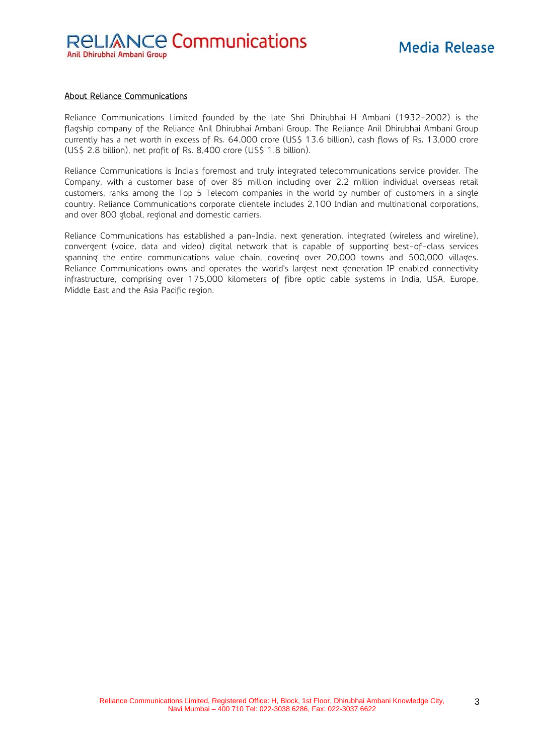## **Media Release**

#### About Reliance Communications

Reliance Communications Limited founded by the late Shri Dhirubhai H Ambani (1932-2002) is the flagship company of the Reliance Anil Dhirubhai Ambani Group. The Reliance Anil Dhirubhai Ambani Group currently has a net worth in excess of Rs. 64,000 crore (US\$ 13.6 billion), cash flows of Rs. 13,000 crore (US\$ 2.8 billion), net profit of Rs. 8,400 crore (US\$ 1.8 billion).

Reliance Communications is India's foremost and truly integrated telecommunications service provider. The Company, with a customer base of over 85 million including over 2.2 million individual overseas retail customers, ranks among the Top 5 Telecom companies in the world by number of customers in a single country. Reliance Communications corporate clientele includes 2,100 Indian and multinational corporations, and over 800 global, regional and domestic carriers.

Reliance Communications has established a pan-India, next generation, integrated (wireless and wireline), convergent (voice, data and video) digital network that is capable of supporting best-of-class services spanning the entire communications value chain, covering over 20,000 towns and 500,000 villages. Reliance Communications owns and operates the world's largest next generation IP enabled connectivity infrastructure, comprising over 175,000 kilometers of fibre optic cable systems in India, USA, Europe, Middle East and the Asia Pacific region.